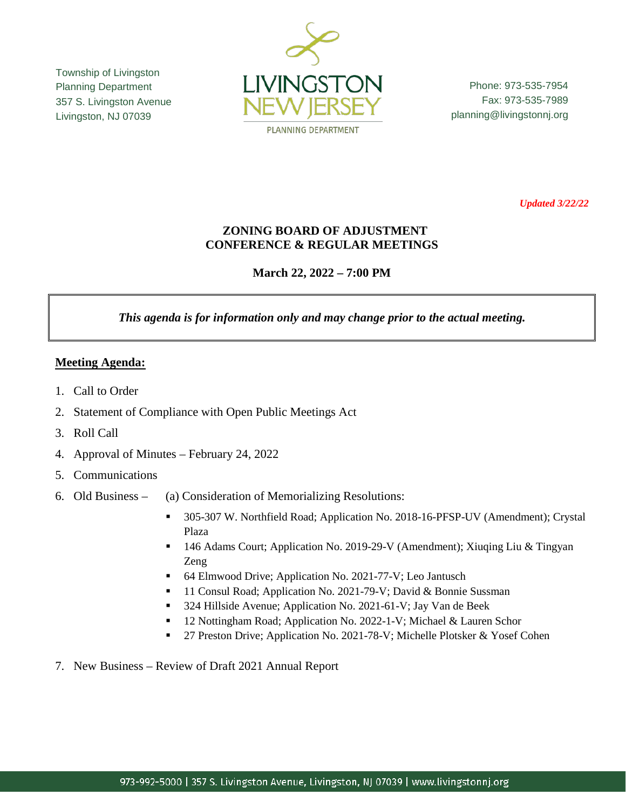Township of Livingston Planning Department 357 S. Livingston Avenue Livingston, NJ 07039



Phone: 973-535-7954 Fax: 973-535-7989 planning@livingstonnj.org

*Updated 3/22/22*

# **ZONING BOARD OF ADJUSTMENT CONFERENCE & REGULAR MEETINGS**

**March 22, 2022 – 7:00 PM**

## *This agenda is for information only and may change prior to the actual meeting.*

### **Meeting Agenda:**

- 1. Call to Order
- 2. Statement of Compliance with Open Public Meetings Act
- 3. Roll Call
- 4. Approval of Minutes February 24, 2022
- 5. Communications
- 6. Old Business (a) Consideration of Memorializing Resolutions:
	- 305-307 W. Northfield Road; Application No. 2018-16-PFSP-UV (Amendment); Crystal Plaza
	- <sup>146</sup> Adams Court; Application No. 2019-29-V (Amendment); Xiuqing Liu & Tingyan Zeng
	- 64 Elmwood Drive; Application No. 2021-77-V; Leo Jantusch
	- <sup>11</sup> Consul Road; Application No. 2021-79-V; David & Bonnie Sussman
	- <sup>324</sup> Hillside Avenue; Application No. 2021-61-V; Jay Van de Beek
	- <sup>12</sup> Nottingham Road; Application No. 2022-1-V; Michael & Lauren Schor
	- <sup>27</sup> Preston Drive; Application No. 2021-78-V; Michelle Plotsker & Yosef Cohen
- 7. New Business Review of Draft 2021 Annual Report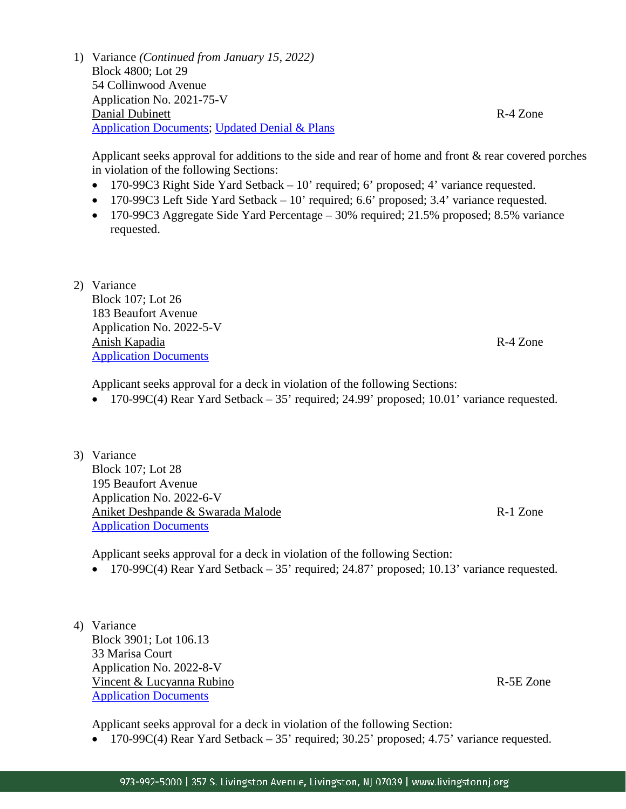1) Variance *(Continued from January 15, 2022)* Block 4800; Lot 29 54 Collinwood Avenue Application No. 2021-75-V Danial Dubinett R-4 Zone [Application Documents;](https://www.livingstonnj.org/DocumentCenter/View/13130/54-Collinwood-Avenue---Application-Docs) [Updated Denial & Plans](https://www.livingstonnj.org/DocumentCenter/View/13507/54-Collinwood-Ave---Updated-Application-Docs)

Applicant seeks approval for additions to the side and rear of home and front & rear covered porches in violation of the following Sections:

- 170-99C3 Right Side Yard Setback 10' required; 6' proposed; 4' variance requested.
- 170-99C3 Left Side Yard Setback 10' required; 6.6' proposed; 3.4' variance requested.
- 170-99C3 Aggregate Side Yard Percentage 30% required; 21.5% proposed; 8.5% variance requested.
- 2) Variance Block 107; Lot 26 183 Beaufort Avenue Application No. 2022-5-V Anish Kapadia R-4 Zone [Application Documents](https://www.livingstonnj.org/DocumentCenter/View/13508/183-Beaufort-Ave---Application-Docs)

Applicant seeks approval for a deck in violation of the following Sections:

- 170-99C(4) Rear Yard Setback 35' required; 24.99' proposed; 10.01' variance requested.
- 3) Variance Block 107; Lot 28 195 Beaufort Avenue Application No. 2022-6-V Aniket Deshpande & Swarada Malode R-1 Zone [Application Documents](https://www.livingstonnj.org/DocumentCenter/View/13509/195-Beaufort-Ave---Application-Docs)

Applicant seeks approval for a deck in violation of the following Section:

- 170-99C(4) Rear Yard Setback 35' required; 24.87' proposed; 10.13' variance requested.
- 4) Variance Block 3901; Lot 106.13 33 Marisa Court Application No. 2022-8-V Vincent & Lucyanna Rubino Research Annual Studies and Research R-5E Zone [Application Documents](https://www.livingstonnj.org/DocumentCenter/View/13510/33-Marissa-Court---Application-Docs)

Applicant seeks approval for a deck in violation of the following Section:

• 170-99C(4) Rear Yard Setback – 35' required; 30.25' proposed; 4.75' variance requested.